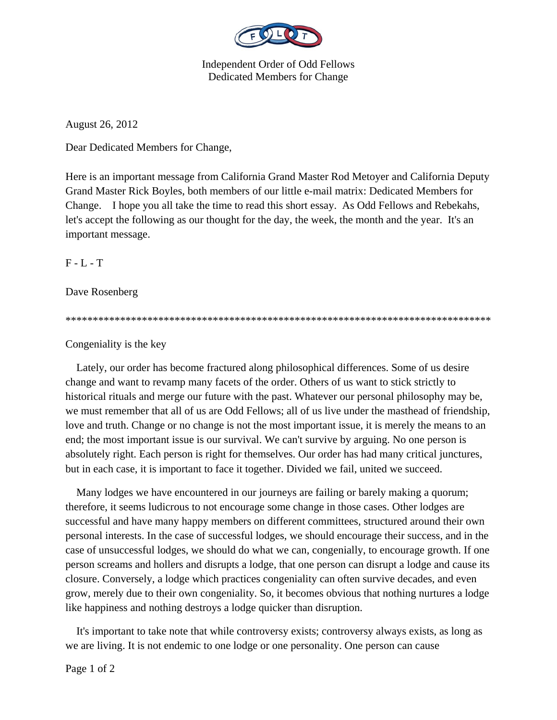

Independent Order of Odd Fellows Dedicated Members for Change

August 26, 2012

Dear Dedicated Members for Change,

Here is an important message from California Grand Master Rod Metoyer and California Deputy Grand Master Rick Boyles, both members of our little e-mail matrix: Dedicated Members for Change. I hope you all take the time to read this short essay. As Odd Fellows and Rebekahs, let's accept the following as our thought for the day, the week, the month and the year. It's an important message.

 $F - L - T$ 

Dave Rosenberg

\*\*\*\*\*\*\*\*\*\*\*\*\*\*\*\*\*\*\*\*\*\*\*\*\*\*\*\*\*\*\*\*\*\*\*\*\*\*\*\*\*\*\*\*\*\*\*\*\*\*\*\*\*\*\*\*\*\*\*\*\*\*\*\*\*\*\*\*\*\*\*\*\*\*\*\*\*\*

Congeniality is the key

 Lately, our order has become fractured along philosophical differences. Some of us desire change and want to revamp many facets of the order. Others of us want to stick strictly to historical rituals and merge our future with the past. Whatever our personal philosophy may be, we must remember that all of us are Odd Fellows; all of us live under the masthead of friendship, love and truth. Change or no change is not the most important issue, it is merely the means to an end; the most important issue is our survival. We can't survive by arguing. No one person is absolutely right. Each person is right for themselves. Our order has had many critical junctures, but in each case, it is important to face it together. Divided we fail, united we succeed.

 Many lodges we have encountered in our journeys are failing or barely making a quorum; therefore, it seems ludicrous to not encourage some change in those cases. Other lodges are successful and have many happy members on different committees, structured around their own personal interests. In the case of successful lodges, we should encourage their success, and in the case of unsuccessful lodges, we should do what we can, congenially, to encourage growth. If one person screams and hollers and disrupts a lodge, that one person can disrupt a lodge and cause its closure. Conversely, a lodge which practices congeniality can often survive decades, and even grow, merely due to their own congeniality. So, it becomes obvious that nothing nurtures a lodge like happiness and nothing destroys a lodge quicker than disruption.

 It's important to take note that while controversy exists; controversy always exists, as long as we are living. It is not endemic to one lodge or one personality. One person can cause